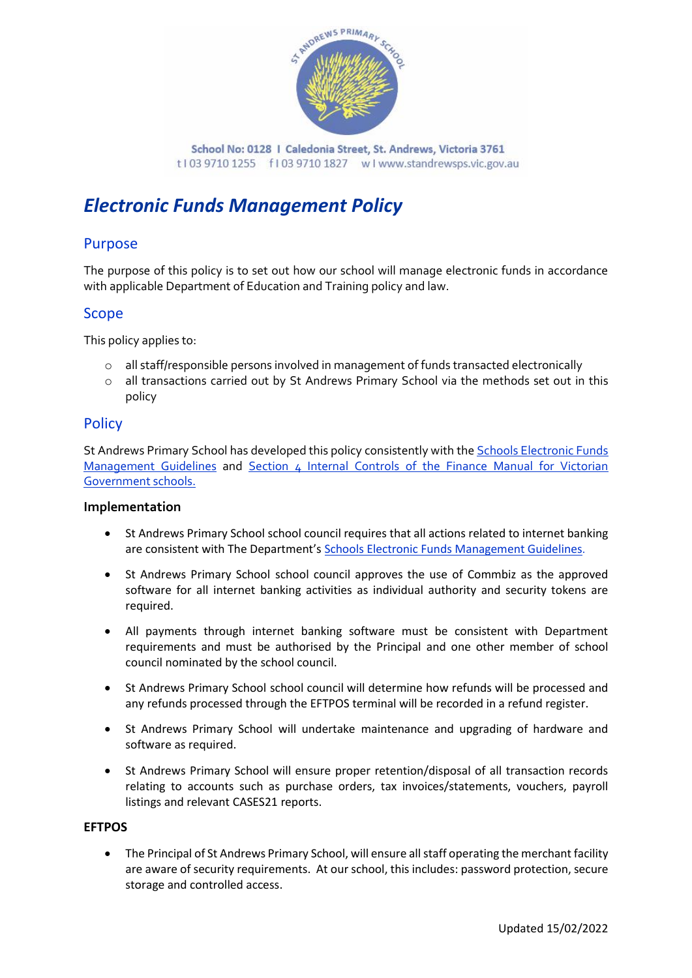

# *Electronic Funds Management Policy*

### Purpose

The purpose of this policy is to set out how our school will manage electronic funds in accordance with applicable Department of Education and Training policy and law.

### Scope

This policy applies to:

- o all staff/responsible persons involved in management of funds transacted electronically
- o all transactions carried out by St Andrews Primary School via the methods set out in this policy

### **Policy**

St Andrews Primary School has developed this policy consistently with the **Schools Electronic Funds** [Management Guidelines](http://www.education.vic.gov.au/Documents/school/principals/finance/Fin%20Schools%20Electronic%20Funds%20Management%20Guidelines%20V1_2.pdf) and [Section 4 Internal Controls](http://www.education.vic.gov.au/Documents/school/teachers/management/fmvgssection4.pdf) of the Finance Manual for Victorian Government schools.

#### **Implementation**

- St Andrews Primary School school council requires that all actions related to internet banking are consistent with The Department's [Schools Electronic Funds Management Guidelines](http://www.education.vic.gov.au/Documents/school/principals/finance/Fin%20Schools%20Electronic%20Funds%20Management%20Guidelines%20V1_2.pdf).
- St Andrews Primary School school council approves the use of Commbiz as the approved software for all internet banking activities as individual authority and security tokens are required.
- All payments through internet banking software must be consistent with Department requirements and must be authorised by the Principal and one other member of school council nominated by the school council.
- St Andrews Primary School school council will determine how refunds will be processed and any refunds processed through the EFTPOS terminal will be recorded in a refund register.
- St Andrews Primary School will undertake maintenance and upgrading of hardware and software as required.
- St Andrews Primary School will ensure proper retention/disposal of all transaction records relating to accounts such as purchase orders, tax invoices/statements, vouchers, payroll listings and relevant CASES21 reports.

#### **EFTPOS**

• The Principal of St Andrews Primary School, will ensure all staff operating the merchant facility are aware of security requirements. At our school, this includes: password protection, secure storage and controlled access.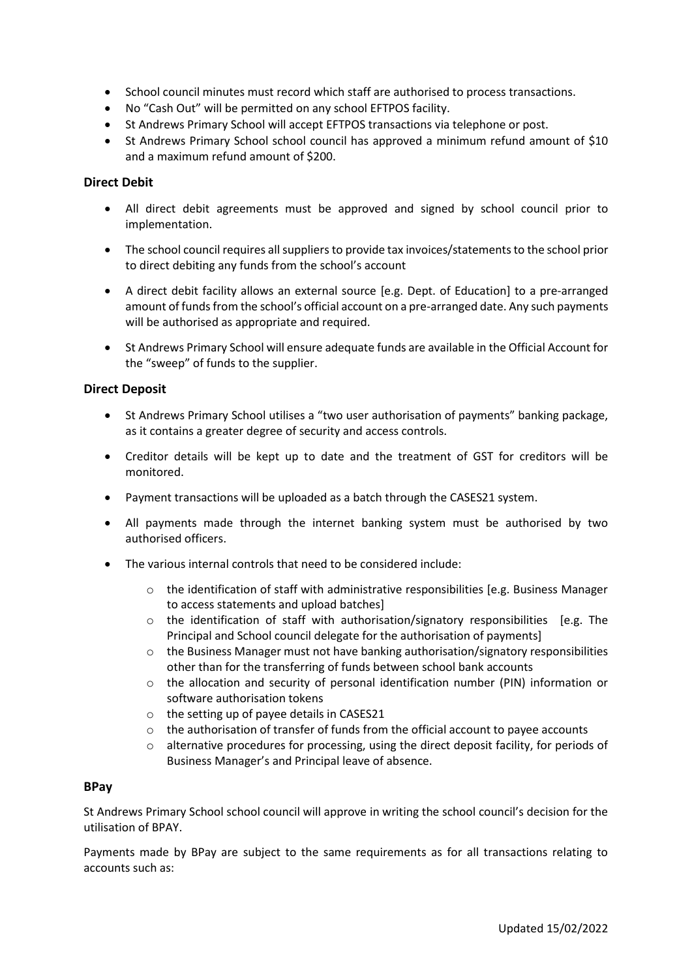- School council minutes must record which staff are authorised to process transactions.
- No "Cash Out" will be permitted on any school EFTPOS facility.
- St Andrews Primary School will accept EFTPOS transactions via telephone or post.
- St Andrews Primary School school council has approved a minimum refund amount of \$10 and a maximum refund amount of \$200.

#### **Direct Debit**

- All direct debit agreements must be approved and signed by school council prior to implementation.
- The school council requires all suppliers to provide tax invoices/statements to the school prior to direct debiting any funds from the school's account
- A direct debit facility allows an external source [e.g. Dept. of Education] to a pre-arranged amount of funds from the school's official account on a pre-arranged date. Any such payments will be authorised as appropriate and required.
- St Andrews Primary School will ensure adequate funds are available in the Official Account for the "sweep" of funds to the supplier.

#### **Direct Deposit**

- St Andrews Primary School utilises a "two user authorisation of payments" banking package, as it contains a greater degree of security and access controls.
- Creditor details will be kept up to date and the treatment of GST for creditors will be monitored.
- Payment transactions will be uploaded as a batch through the CASES21 system.
- All payments made through the internet banking system must be authorised by two authorised officers.
- The various internal controls that need to be considered include:
	- $\circ$  the identification of staff with administrative responsibilities [e.g. Business Manager to access statements and upload batches]
	- $\circ$  the identification of staff with authorisation/signatory responsibilities [e.g. The Principal and School council delegate for the authorisation of payments]
	- o the Business Manager must not have banking authorisation/signatory responsibilities other than for the transferring of funds between school bank accounts
	- $\circ$  the allocation and security of personal identification number (PIN) information or software authorisation tokens
	- o the setting up of payee details in CASES21
	- $\circ$  the authorisation of transfer of funds from the official account to payee accounts
	- $\circ$  alternative procedures for processing, using the direct deposit facility, for periods of Business Manager's and Principal leave of absence.

#### **BPay**

St Andrews Primary School school council will approve in writing the school council's decision for the utilisation of BPAY.

Payments made by BPay are subject to the same requirements as for all transactions relating to accounts such as: